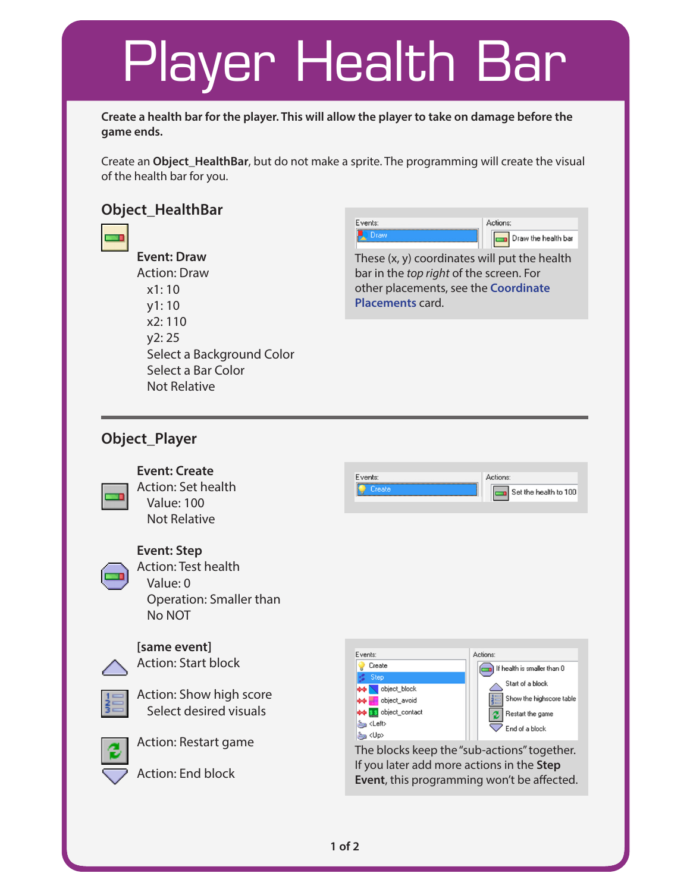# Player Health Bar

**Create a health bar for the player. This will allow the player to take on damage before the game ends.**

Create an **Object\_HealthBar**, but do not make a sprite. The programming will create the visual of the health bar for you.

### **Object\_HealthBar**

**Event: Draw** Action: Draw x1: 10 y1: 10 x2: 110 y2: 25 Select a Background Color Select a Bar Color



These (x, y) coordinates will put the health bar in the *top right* of the screen. For other placements, see the **Coordinate Placements** card.

### **Object\_Player**

Not Relative